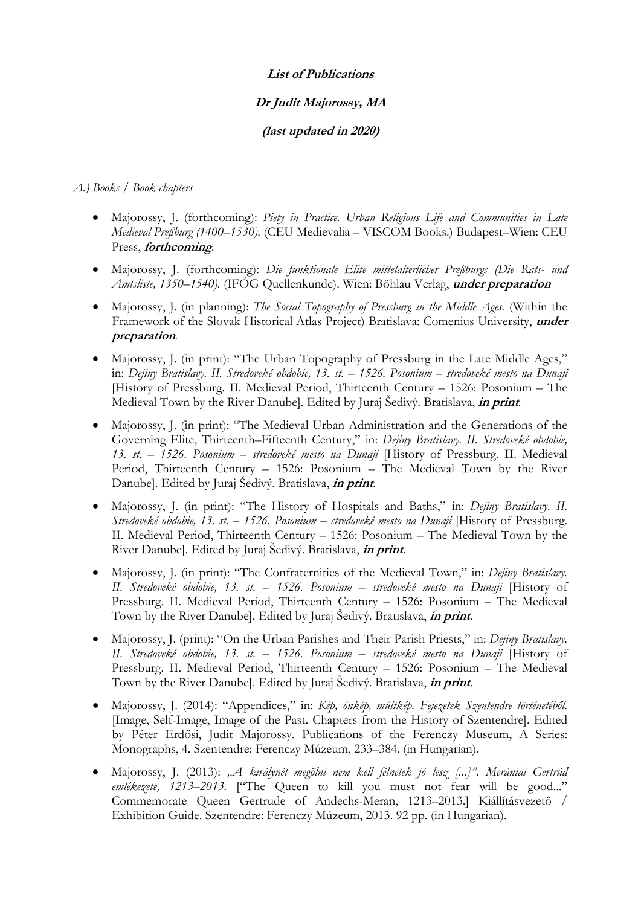#### **List of Publications**

# **Dr Judit Majorossy, MA**

### **(last updated in 2020)**

#### *A.) Books / Book chapters*

- Majorossy, J. (forthcoming): *Piety in Practice. Urban Religious Life and Communities in Late Medieval Preßburg (1400–1530)*. (CEU Medievalia – VISCOM Books.) Budapest–Wien: CEU Press, **forthcoming***.*
- Majorossy, J. (forthcoming): *Die funktionale Elite mittelalterlicher Preßburgs (Die Rats- und Amtsliste, 1350–1540).* (IFÖG Quellenkunde). Wien: Böhlau Verlag, **under preparation**
- Majorossy, J. (in planning): *The Social Topography of Pressburg in the Middle Ages.* (Within the Framework of the Slovak Historical Atlas Project) Bratislava: Comenius University, **under preparation***.*
- Majorossy, J. (in print): "The Urban Topography of Pressburg in the Late Middle Ages," in: *Dejiny Bratislavy. II. Stredoveké obdobie, 13. st. – 1526. Posonium – stredoveké mesto na Dunaji* [History of Pressburg. II. Medieval Period, Thirteenth Century – 1526: Posonium – The Medieval Town by the River Danube]. Edited by Juraj Šedivý. Bratislava, **in print**.
- Majorossy, J. (in print): "The Medieval Urban Administration and the Generations of the Governing Elite, Thirteenth–Fifteenth Century," in: *Dejiny Bratislavy. II. Stredoveké obdobie, 13. st. – 1526. Posonium – stredoveké mesto na Dunaji* [History of Pressburg. II. Medieval Period, Thirteenth Century – 1526: Posonium – The Medieval Town by the River Danube]. Edited by Juraj Šedivý. Bratislava, **in print**.
- Majorossy, J. (in print): "The History of Hospitals and Baths," in: *Dejiny Bratislavy. II. Stredoveké obdobie, 13. st. – 1526. Posonium – stredoveké mesto na Dunaji* [History of Pressburg. II. Medieval Period, Thirteenth Century – 1526: Posonium – The Medieval Town by the River Danube]. Edited by Juraj Šedivý. Bratislava, **in print**.
- Majorossy, J. (in print): "The Confraternities of the Medieval Town," in: *Dejiny Bratislavy. II. Stredoveké obdobie, 13. st. – 1526. Posonium – stredoveké mesto na Dunaji* [History of Pressburg. II. Medieval Period, Thirteenth Century – 1526: Posonium – The Medieval Town by the River Danube]. Edited by Juraj Šedivý. Bratislava, **in print**.
- Majorossy, J. (print): "On the Urban Parishes and Their Parish Priests," in: *Dejiny Bratislavy. II. Stredoveké obdobie, 13. st. – 1526. Posonium – stredoveké mesto na Dunaji* [History of Pressburg. II. Medieval Period, Thirteenth Century – 1526: Posonium – The Medieval Town by the River Danube]. Edited by Juraj Šedivý. Bratislava, **in print**.
- Majorossy, J. (2014): "Appendices," in: *Kép, önkép, múltkép. Fejezetek Szentendre történetéből.* [Image, Self-Image, Image of the Past. Chapters from the History of Szentendre]. Edited by Péter Erdősi, Judit Majorossy. Publications of the Ferenczy Museum, A Series: Monographs, 4. Szentendre: Ferenczy Múzeum, 233–384. (in Hungarian).
- Majorossy, J. (2013): *"A királynét megölni nem kell félnetek jó lesz [...]". Merániai Gertrúd emlékezete, 1213–2013.* ["The Queen to kill you must not fear will be good..." Commemorate Queen Gertrude of Andechs-Meran, 1213–2013.] Kiállításvezető / Exhibition Guide. Szentendre: Ferenczy Múzeum, 2013. 92 pp. (in Hungarian).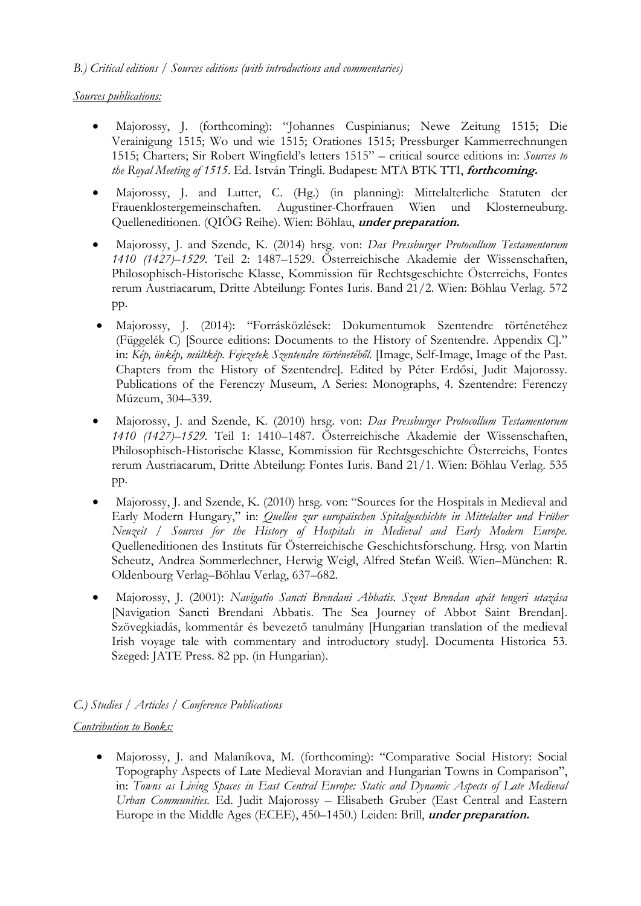*B.) Critical editions / Sources editions (with introductions and commentaries)* 

### *Sources publications:*

- Majorossy, J. (forthcoming): "Johannes Cuspinianus; Newe Zeitung 1515; Die Verainigung 1515; Wo und wie 1515; Orationes 1515; Pressburger Kammerrechnungen 1515; Charters; Sir Robert Wingfield's letters 1515" – critical source editions in: *Sources to the Royal Meeting of 1515*. Ed. István Tringli. Budapest: MTA BTK TTI, **forthcoming.**
- Majorossy, J. and Lutter, C. (Hg.) (in planning): Mittelalterliche Statuten der Frauenklostergemeinschaften. Augustiner-Chorfrauen Wien und Klosterneuburg. Quelleneditionen. (QIÖG Reihe). Wien: Böhlau, **under preparation.**
- Majorossy, J. and Szende, K. (2014) hrsg. von: *Das Pressburger Protocollum Testamentorum 1410 (1427)–1529.* Teil 2: 1487–1529. Österreichische Akademie der Wissenschaften, Philosophisch-Historische Klasse, Kommission für Rechtsgeschichte Österreichs, Fontes rerum Austriacarum, Dritte Abteilung: Fontes Iuris. Band 21/2. Wien: Böhlau Verlag. 572 pp.
- Majorossy, J. (2014): "Forrásközlések: Dokumentumok Szentendre történetéhez (Függelék C) [Source editions: Documents to the History of Szentendre. Appendix C]." in: *Kép, önkép, múltkép. Fejezetek Szentendre történetéből.* [Image, Self-Image, Image of the Past. Chapters from the History of Szentendre]. Edited by Péter Erdősi, Judit Majorossy. Publications of the Ferenczy Museum, A Series: Monographs, 4. Szentendre: Ferenczy Múzeum, 304–339.
- Majorossy, J. and Szende, K. (2010) hrsg. von: *Das Pressburger Protocollum Testamentorum 1410 (1427)–1529.* Teil 1: 1410–1487. Österreichische Akademie der Wissenschaften, Philosophisch-Historische Klasse, Kommission für Rechtsgeschichte Österreichs, Fontes rerum Austriacarum, Dritte Abteilung: Fontes Iuris. Band 21/1. Wien: Böhlau Verlag. 535 pp.
- Majorossy, J. and Szende, K. (2010) hrsg. von: "Sources for the Hospitals in Medieval and Early Modern Hungary," in: *Quellen zur europäischen Spitalgeschichte in Mittelalter und Früher Neuzeit / Sources for the History of Hospitals in Medieval and Early Modern Europe.*  Quelleneditionen des Instituts für Österreichische Geschichtsforschung. Hrsg. von Martin Scheutz, Andrea Sommerlechner, Herwig Weigl, Alfred Stefan Weiß. Wien–München: R. Oldenbourg Verlag–Böhlau Verlag, 637–682.
- Majorossy, J. (2001): *Navigatio Sancti Brendani Abbatis. Szent Brendan apát tengeri utazása* [Navigation Sancti Brendani Abbatis. The Sea Journey of Abbot Saint Brendan]. Szövegkiadás, kommentár és bevezető tanulmány [Hungarian translation of the medieval Irish voyage tale with commentary and introductory study]. Documenta Historica 53. Szeged: JATE Press. 82 pp. (in Hungarian).

# *C.) Studies / Articles / Conference Publications*

#### *Contribution to Books:*

 Majorossy, J. and Malaníkova, M. (forthcoming): "Comparative Social History: Social Topography Aspects of Late Medieval Moravian and Hungarian Towns in Comparison", in: *Towns as Living Spaces in East Central Europe: Static and Dynamic Aspects of Late Medieval Urban Communities.* Ed. Judit Majorossy – Elisabeth Gruber (East Central and Eastern Europe in the Middle Ages (ECEE), 450–1450.) Leiden: Brill, **under preparation.**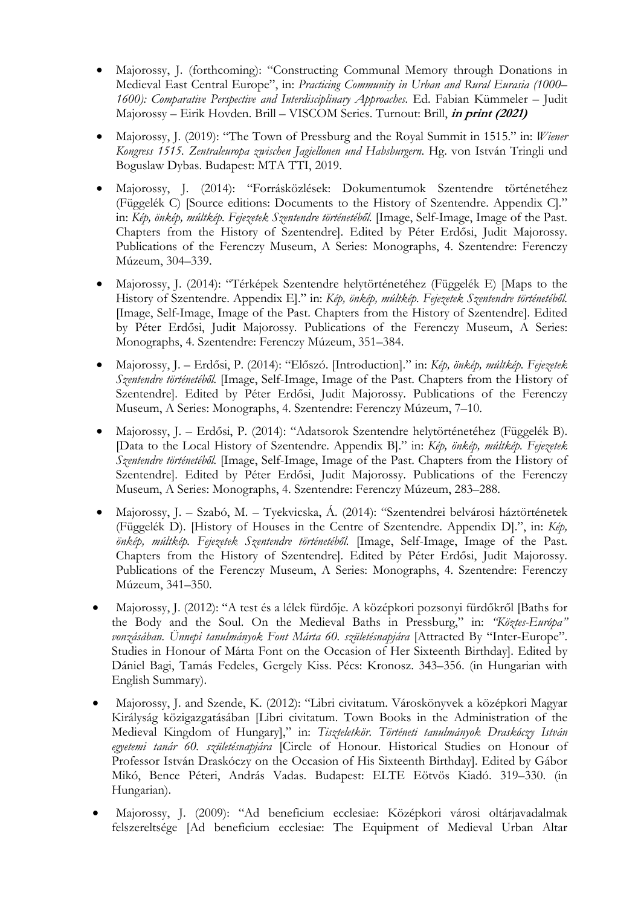- Majorossy, J. (forthcoming): "Constructing Communal Memory through Donations in Medieval East Central Europe", in: *Practicing Community in Urban and Rural Eurasia (1000– 1600): Comparative Perspective and Interdisciplinary Approaches.* Ed. Fabian Kümmeler – Judit Majorossy – Eirik Hovden. Brill – VISCOM Series. Turnout: Brill, **in print (2021)**
- Majorossy, J. (2019): "The Town of Pressburg and the Royal Summit in 1515." in: *Wiener Kongress 1515. Zentraleuropa zwischen Jagiellonen und Habsburgern*. Hg. von István Tringli und Boguslaw Dybas. Budapest: MTA TTI, 2019.
- Majorossy, J. (2014): "Forrásközlések: Dokumentumok Szentendre történetéhez (Függelék C) [Source editions: Documents to the History of Szentendre. Appendix C]." in: *Kép, önkép, múltkép. Fejezetek Szentendre történetéből.* [Image, Self-Image, Image of the Past. Chapters from the History of Szentendre]. Edited by Péter Erdősi, Judit Majorossy. Publications of the Ferenczy Museum, A Series: Monographs, 4. Szentendre: Ferenczy Múzeum, 304–339.
- Majorossy, J. (2014): "Térképek Szentendre helytörténetéhez (Függelék E) [Maps to the History of Szentendre. Appendix E]." in: *Kép, önkép, múltkép. Fejezetek Szentendre történetéből.*  [Image, Self-Image, Image of the Past. Chapters from the History of Szentendre]. Edited by Péter Erdősi, Judit Majorossy. Publications of the Ferenczy Museum, A Series: Monographs, 4. Szentendre: Ferenczy Múzeum, 351–384.
- Majorossy, J. Erdősi, P. (2014): "Előszó. [Introduction]." in: *Kép, önkép, múltkép. Fejezetek Szentendre történetéből.* [Image, Self-Image, Image of the Past. Chapters from the History of Szentendre]. Edited by Péter Erdősi, Judit Majorossy. Publications of the Ferenczy Museum, A Series: Monographs, 4. Szentendre: Ferenczy Múzeum, 7–10.
- Majorossy, J. Erdősi, P. (2014): "Adatsorok Szentendre helytörténetéhez (Függelék B). [Data to the Local History of Szentendre. Appendix B]." in: *Kép, önkép, múltkép. Fejezetek Szentendre történetéből.* [Image, Self-Image, Image of the Past. Chapters from the History of Szentendre]. Edited by Péter Erdősi, Judit Majorossy. Publications of the Ferenczy Museum, A Series: Monographs, 4. Szentendre: Ferenczy Múzeum, 283–288.
- Majorossy, J. Szabó, M. Tyekvicska, Á. (2014): "Szentendrei belvárosi háztörténetek (Függelék D). [History of Houses in the Centre of Szentendre. Appendix D].", in: *Kép, önkép, múltkép. Fejezetek Szentendre történetéből.* [Image, Self-Image, Image of the Past. Chapters from the History of Szentendre]. Edited by Péter Erdősi, Judit Majorossy. Publications of the Ferenczy Museum, A Series: Monographs, 4. Szentendre: Ferenczy Múzeum, 341–350.
- Majorossy, J. (2012): "A test és a lélek fürdője. A középkori pozsonyi fürdőkről [Baths for the Body and the Soul. On the Medieval Baths in Pressburg," in: *"Köztes-Európa" vonzásában. Ünnepi tanulmányok Font Márta 60. születésnapjára* [Attracted By "Inter-Europe". Studies in Honour of Márta Font on the Occasion of Her Sixteenth Birthday]. Edited by Dániel Bagi, Tamás Fedeles, Gergely Kiss. Pécs: Kronosz. 343–356. (in Hungarian with English Summary).
- Majorossy, J. and Szende, K. (2012): "Libri civitatum. Városkönyvek a középkori Magyar Királyság közigazgatásában [Libri civitatum. Town Books in the Administration of the Medieval Kingdom of Hungary]," in: *Tiszteletkör. Történeti tanulmányok Draskóczy István egyetemi tanár 60. születésnapjára* [Circle of Honour. Historical Studies on Honour of Professor István Draskóczy on the Occasion of His Sixteenth Birthday]. Edited by Gábor Mikó, Bence Péteri, András Vadas. Budapest: ELTE Eötvös Kiadó. 319–330. (in Hungarian).
- Majorossy, J. (2009): "Ad beneficium ecclesiae: Középkori városi oltárjavadalmak felszereltsége [Ad beneficium ecclesiae: The Equipment of Medieval Urban Altar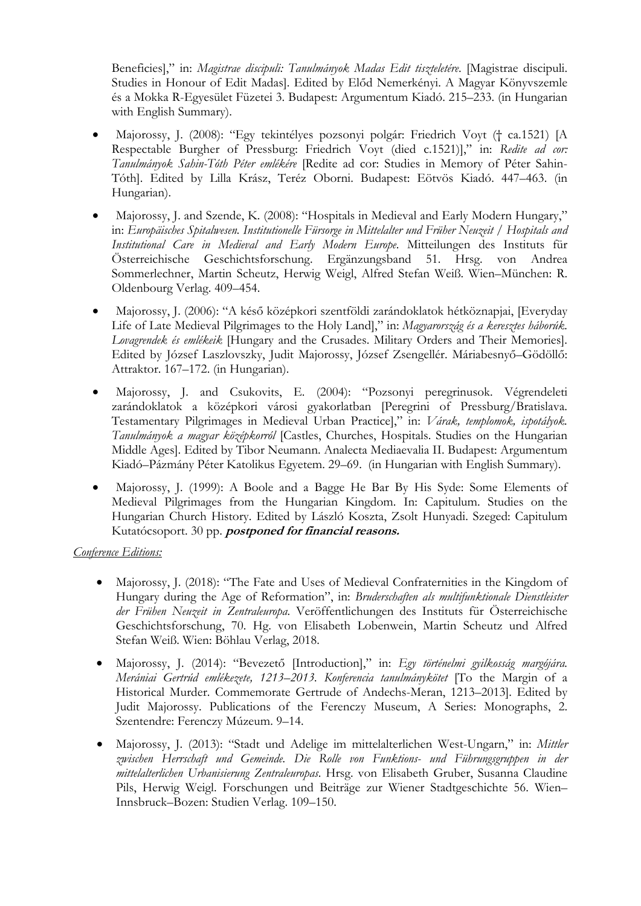Beneficies]," in: *Magistrae discipuli: Tanulmányok Madas Edit tiszteletére*. [Magistrae discipuli. Studies in Honour of Edit Madas]. Edited by Előd Nemerkényi. A Magyar Könyvszemle és a Mokka R-Egyesület Füzetei 3. Budapest: Argumentum Kiadó. 215–233. (in Hungarian with English Summary).

- Majorossy, J. (2008): "Egy tekintélyes pozsonyi polgár: Friedrich Voyt († ca.1521) [A Respectable Burgher of Pressburg: Friedrich Voyt (died c.1521)]," in: *Redite ad cor: Tanulmányok Sahin-Tóth Péter emlékére* [Redite ad cor: Studies in Memory of Péter Sahin-Tóth]. Edited by Lilla Krász, Teréz Oborni. Budapest: Eötvös Kiadó. 447–463. (in Hungarian).
- Majorossy, J. and Szende, K. (2008): "Hospitals in Medieval and Early Modern Hungary," in: *Europäisches Spitalwesen. Institutionelle Fürsorge in Mittelalter und Früher Neuzeit / Hospitals and Institutional Care in Medieval and Early Modern Europe*. Mitteilungen des Instituts für Österreichische Geschichtsforschung. Ergänzungsband 51. Hrsg. von Andrea Sommerlechner, Martin Scheutz, Herwig Weigl, Alfred Stefan Weiß. Wien–München: R. Oldenbourg Verlag. 409–454.
- Majorossy, J. (2006): "A késő középkori szentföldi zarándoklatok hétköznapjai, [Everyday Life of Late Medieval Pilgrimages to the Holy Land]," in: *Magyarország és a keresztes háborúk. Lovagrendek és emlékeik* [Hungary and the Crusades. Military Orders and Their Memories]. Edited by József Laszlovszky, Judit Majorossy, József Zsengellér. Máriabesnyő–Gödöllő: Attraktor. 167–172. (in Hungarian).
- Majorossy, J. and Csukovits, E. (2004): "Pozsonyi peregrinusok. Végrendeleti zarándoklatok a középkori városi gyakorlatban [Peregrini of Pressburg/Bratislava. Testamentary Pilgrimages in Medieval Urban Practice]," in: *Várak, templomok, ispotályok. Tanulmányok a magyar középkorról* [Castles, Churches, Hospitals. Studies on the Hungarian Middle Ages]. Edited by Tibor Neumann. Analecta Mediaevalia II. Budapest: Argumentum Kiadó–Pázmány Péter Katolikus Egyetem. 29–69. (in Hungarian with English Summary).
- Majorossy, J. (1999): A Boole and a Bagge He Bar By His Syde: Some Elements of Medieval Pilgrimages from the Hungarian Kingdom. In: Capitulum. Studies on the Hungarian Church History. Edited by László Koszta, Zsolt Hunyadi. Szeged: Capitulum Kutatócsoport. 30 pp. **postponed for financial reasons.**

# *Conference Editions:*

- Majorossy, J. (2018): "The Fate and Uses of Medieval Confraternities in the Kingdom of Hungary during the Age of Reformation", in: *Bruderschaften als multifunktionale Dienstleister der Frühen Neuzeit in Zentraleuropa*. Veröffentlichungen des Instituts für Österreichische Geschichtsforschung, 70. Hg. von Elisabeth Lobenwein, Martin Scheutz und Alfred Stefan Weiß. Wien: Böhlau Verlag, 2018.
- Majorossy, J. (2014): "Bevezető [Introduction]," in: *Egy történelmi gyilkosság margójára. Merániai Gertrúd emlékezete, 1213–2013. Konferencia tanulmánykötet* [To the Margin of a Historical Murder. Commemorate Gertrude of Andechs-Meran, 1213–2013]. Edited by Judit Majorossy. Publications of the Ferenczy Museum, A Series: Monographs, 2. Szentendre: Ferenczy Múzeum. 9–14.
- Majorossy, J. (2013): "Stadt und Adelige im mittelalterlichen West-Ungarn," in: *Mittler zwischen Herrschaft und Gemeinde. Die Rolle von Funktions- und Führungsgruppen in der mittelalterlichen Urbanisierung Zentraleuropas*. Hrsg. von Elisabeth Gruber, Susanna Claudine Pils, Herwig Weigl. Forschungen und Beiträge zur Wiener Stadtgeschichte 56. Wien– Innsbruck–Bozen: Studien Verlag. 109–150.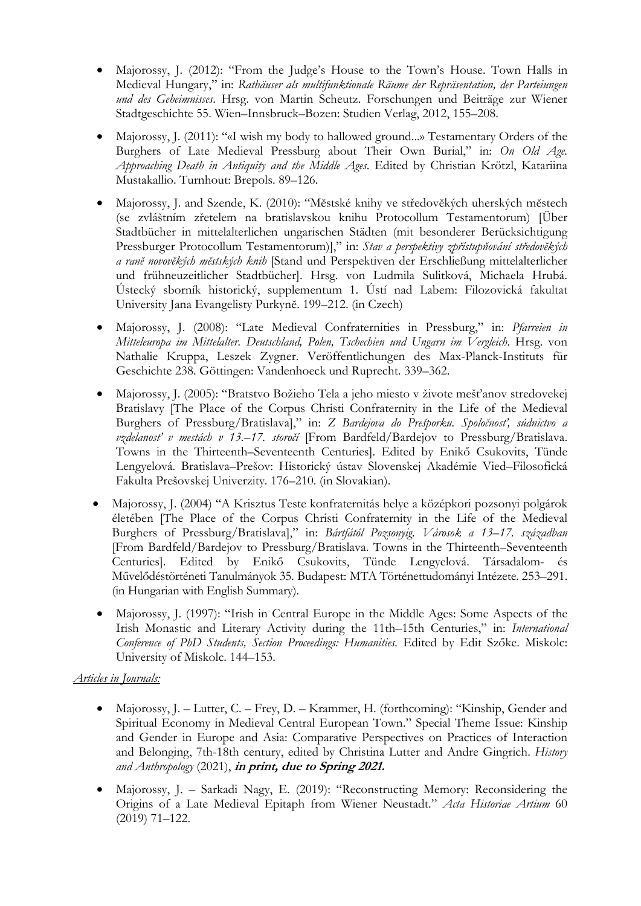- Majorossy, J. (2012): "From the Judge's House to the Town's House. Town Halls in Medieval Hungary," in: *Rathäuser als multifunktionale Räume der Repräsentation, der Parteiungen und des Geheimnisses*. Hrsg. von Martin Scheutz. Forschungen und Beiträge zur Wiener Stadtgeschichte 55. Wien–Innsbruck–Bozen: Studien Verlag, 2012, 155–208.
- Majorossy, J. (2011): "«I wish my body to hallowed ground...» Testamentary Orders of the Burghers of Late Medieval Pressburg about Their Own Burial," in: *On Old Age. Approaching Death in Antiquity and the Middle Ages*. Edited by Christian Krötzl, Katariina Mustakallio. Turnhout: Brepols. 89–126.
- Majorossy, J. and Szende, K. (2010): "Mĕstské knihy ve středovĕkých uherských mĕstech (se zvláštním zřetelem na bratislavskou knihu Protocollum Testamentorum) [Über Stadtbücher in mittelalterlichen ungarischen Städten (mit besonderer Berücksichtigung Pressburger Protocollum Testamentorum)]," in: *Stav a perspektivy zpřístupňování středovĕkých a ranĕ novovĕkých mĕstských knih* [Stand und Perspektiven der Erschließung mittelalterlicher und frühneuzeitlicher Stadtbücher]. Hrsg. von Ludmila Sulitková, Michaela Hrubá. Ústecký sborník historický, supplementum 1. Ústí nad Labem: Filozovická fakultat University Jana Evangelisty Purkynĕ. 199–212. (in Czech)
- Majorossy, J. (2008): "Late Medieval Confraternities in Pressburg," in: *Pfarreien in Mitteleuropa im Mittelalter. Deutschland, Polen, Tschechien und Ungarn im Vergleich*. Hrsg. von Nathalie Kruppa, Leszek Zygner. Veröffentlichungen des Max-Planck-Instituts für Geschichte 238. Göttingen: Vandenhoeck und Ruprecht. 339–362.
- Majorossy, J. (2005): "Bratstvo Božieho Tela a jeho miesto v živote mešťanov stredovekej Bratislavy [The Place of the Corpus Christi Confraternity in the Life of the Medieval Burghers of Pressburg/Bratislava]," in: *Z Bardejova do Prešporku. Spoločnosť, súdnictvo a vzdelanosť v mestách v 13.–17. storočí* [From Bardfeld/Bardejov to Pressburg/Bratislava. Towns in the Thirteenth–Seventeenth Centuries]. Edited by Enikő Csukovits, Tünde Lengyelová. Bratislava–Prešov: Historický ústav Slovenskej Akadémie Vied–Filosofická Fakulta Prešovskej Univerzity. 176–210. (in Slovakian).
- Majorossy, J. (2004) "A Krisztus Teste konfraternitás helye a középkori pozsonyi polgárok életében [The Place of the Corpus Christi Confraternity in the Life of the Medieval Burghers of Pressburg/Bratislava]," in: *Bártfától Pozsonyig. Városok a 13–17. században* [From Bardfeld/Bardejov to Pressburg/Bratislava. Towns in the Thirteenth–Seventeenth Centuries]. Edited by Enikő Csukovits, Tünde Lengyelová. Társadalom- és Művelődéstörténeti Tanulmányok 35. Budapest: MTA Történettudományi Intézete. 253–291. (in Hungarian with English Summary).
- Majorossy, J. (1997): "Irish in Central Europe in the Middle Ages: Some Aspects of the Irish Monastic and Literary Activity during the 11th–15th Centuries," in: *International Conference of PhD Students, Section Proceedings: Humanities.* Edited by Edit Szőke. Miskolc: University of Miskolc. 144–153.

# *Articles in Journals:*

- Majorossy, J. Lutter, C. Frey, D. Krammer, H. (forthcoming): "Kinship, Gender and Spiritual Economy in Medieval Central European Town." Special Theme Issue: Kinship and Gender in Europe and Asia: Comparative Perspectives on Practices of Interaction and Belonging, 7th-18th century, edited by Christina Lutter and Andre Gingrich. *History and Anthropology* (2021), **in print, due to Spring 2021.**
- Majorossy, J. Sarkadi Nagy, E. (2019): "Reconstructing Memory: Reconsidering the Origins of a Late Medieval Epitaph from Wiener Neustadt." *Acta Historiae Artium* 60 (2019) 71–122.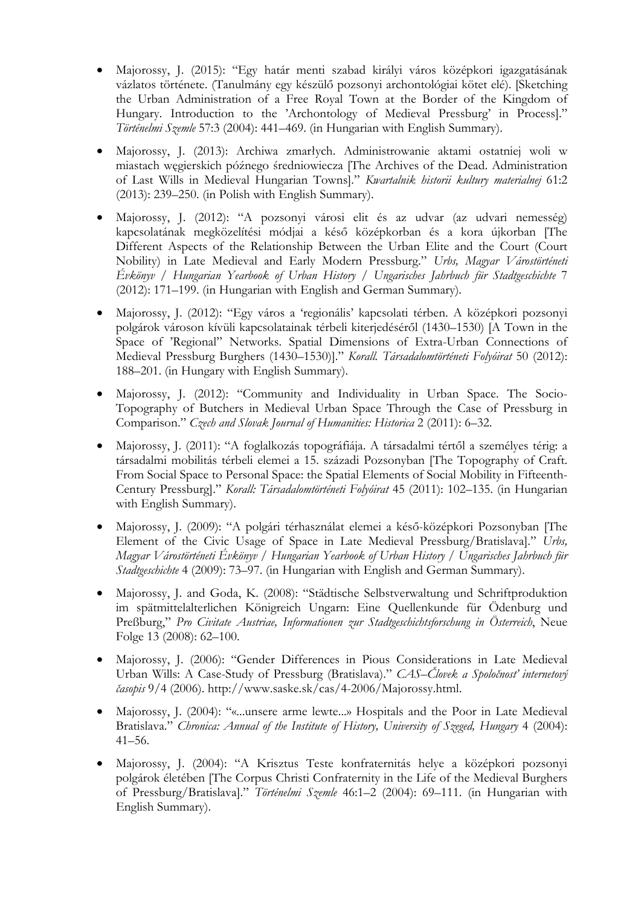- Majorossy, J. (2015): "Egy határ menti szabad királyi város középkori igazgatásának vázlatos története. (Tanulmány egy készülő pozsonyi archontológiai kötet elé). [Sketching the Urban Administration of a Free Royal Town at the Border of the Kingdom of Hungary. Introduction to the 'Archontology of Medieval Pressburg' in Process]." *Történelmi Szemle* 57:3 (2004): 441–469. (in Hungarian with English Summary).
- Majorossy, J. (2013): Archiwa zmarłych. Administrowanie aktami ostatniej woli w miastach węgierskich późnego średniowiecza [The Archives of the Dead. Administration of Last Wills in Medieval Hungarian Towns]." *Kwartalnik historii kultury materialnej* 61:2 (2013): 239–250. (in Polish with English Summary).
- Majorossy, J. (2012): "A pozsonyi városi elit és az udvar (az udvari nemesség) kapcsolatának megközelítési módjai a késő középkorban és a kora újkorban [The Different Aspects of the Relationship Between the Urban Elite and the Court (Court Nobility) in Late Medieval and Early Modern Pressburg." *Urbs, Magyar Várostörténeti Évkönyv / Hungarian Yearbook of Urban History / Ungarisches Jahrbuch für Stadtgeschichte* 7 (2012): 171–199. (in Hungarian with English and German Summary).
- Majorossy, J. (2012): "Egy város a 'regionális' kapcsolati térben. A középkori pozsonyi polgárok városon kívüli kapcsolatainak térbeli kiterjedéséről (1430–1530) [A Town in the Space of 'Regional" Networks. Spatial Dimensions of Extra-Urban Connections of Medieval Pressburg Burghers (1430–1530)]." *Korall. Társadalomtörténeti Folyóirat* 50 (2012): 188–201. (in Hungary with English Summary).
- Majorossy, J. (2012): "Community and Individuality in Urban Space. The Socio-Topography of Butchers in Medieval Urban Space Through the Case of Pressburg in Comparison." *Czech and Slovak Journal of Humanities: Historica* 2 (2011): 6–32.
- Majorossy, J. (2011): "A foglalkozás topográfiája. A társadalmi tértől a személyes térig: a társadalmi mobilitás térbeli elemei a 15. századi Pozsonyban [The Topography of Craft. From Social Space to Personal Space: the Spatial Elements of Social Mobility in Fifteenth-Century Pressburg]." *Korall: Társadalomtörténeti Folyóirat* 45 (2011): 102–135. (in Hungarian with English Summary).
- Majorossy, J. (2009): "A polgári térhasználat elemei a késő-középkori Pozsonyban [The Element of the Civic Usage of Space in Late Medieval Pressburg/Bratislava]." *Urbs, Magyar Várostörténeti Évkönyv / Hungarian Yearbook of Urban History / Ungarisches Jahrbuch für Stadtgeschichte* 4 (2009): 73–97. (in Hungarian with English and German Summary).
- Majorossy, J. and Goda, K. (2008): "Städtische Selbstverwaltung und Schriftproduktion im spätmittelalterlichen Königreich Ungarn: Eine Quellenkunde für Ödenburg und Preßburg," *Pro Civitate Austriae, Informationen zur Stadtgeschichtsforschung in Österreich*, Neue Folge 13 (2008): 62–100.
- Majorossy, J. (2006): "Gender Differences in Pious Considerations in Late Medieval Urban Wills: A Case-Study of Pressburg (Bratislava)." *CAS*–*Človek a Spoločnosť internetový časopis* 9/4 (2006). http://www.saske.sk/cas/4-2006/Majorossy.html.
- Majorossy, J. (2004): "«...unsere arme lewte...» Hospitals and the Poor in Late Medieval Bratislava." *Chronica: Annual of the Institute of History, University of Szeged, Hungary* 4 (2004): 41–56.
- Majorossy, J. (2004): "A Krisztus Teste konfraternitás helye a középkori pozsonyi polgárok életében [The Corpus Christi Confraternity in the Life of the Medieval Burghers of Pressburg/Bratislava]." *Történelmi Szemle* 46:1–2 (2004): 69–111. (in Hungarian with English Summary).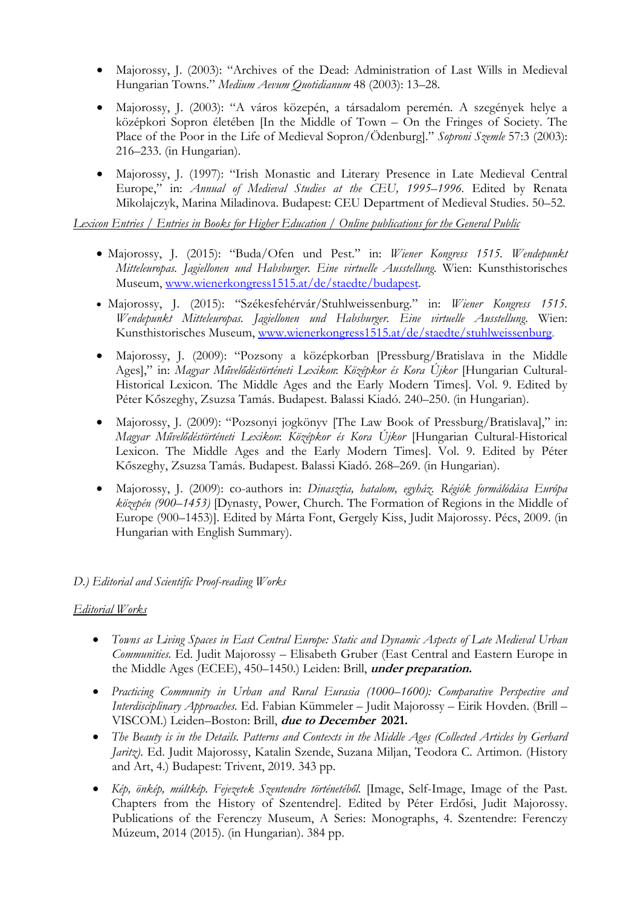- Majorossy, J. (2003): "Archives of the Dead: Administration of Last Wills in Medieval Hungarian Towns." *Medium Aevum Quotidianum* 48 (2003): 13–28.
- Majorossy, J. (2003): "A város közepén, a társadalom peremén. A szegények helye a középkori Sopron életében [In the Middle of Town – On the Fringes of Society. The Place of the Poor in the Life of Medieval Sopron/Ödenburg]." *Soproni Szemle* 57:3 (2003): 216–233. (in Hungarian).
- Majorossy, J. (1997): "Irish Monastic and Literary Presence in Late Medieval Central Europe," in: *Annual of Medieval Studies at the CEU, 1995–1996*. Edited by Renata Mikolajczyk, Marina Miladinova. Budapest: CEU Department of Medieval Studies. 50–52.

*Lexicon Entries / Entries in Books for Higher Education / Online publications for the General Public* 

- Majorossy, J. (2015): "Buda/Ofen und Pest." in: *Wiener Kongress 1515. Wendepunkt Mitteleuropas. Jagiellonen und Habsburger. Eine virtuelle Ausstellung*. Wien: Kunsthistorisches Museum, www.wienerkongress1515.at/de/staedte/budapest.
- Majorossy, J. (2015): "Székesfehérvár/Stuhlweissenburg." in: *Wiener Kongress 1515. Wendepunkt Mitteleuropas. Jagiellonen und Habsburger. Eine virtuelle Ausstellung*. Wien: Kunsthistorisches Museum, www.wienerkongress1515.at/de/staedte/stuhlweissenburg.
- Majorossy, J. (2009): "Pozsony a középkorban [Pressburg/Bratislava in the Middle Ages]," in: *Magyar Művelődéstörténeti Lexikon*: *Középkor és Kora Újkor* [Hungarian Cultural-Historical Lexicon. The Middle Ages and the Early Modern Times]. Vol. 9. Edited by Péter Kőszeghy, Zsuzsa Tamás. Budapest. Balassi Kiadó. 240–250. (in Hungarian).
- Majorossy, J. (2009): "Pozsonyi jogkönyv [The Law Book of Pressburg/Bratislava]," in: *Magyar Művelődéstörténeti Lexikon*: *Középkor és Kora Újkor* [Hungarian Cultural-Historical Lexicon. The Middle Ages and the Early Modern Times]. Vol. 9. Edited by Péter Kőszeghy, Zsuzsa Tamás. Budapest. Balassi Kiadó. 268–269. (in Hungarian).
- Majorossy, J. (2009): co-authors in: *Dinasztia, hatalom, egyház. Régiók formálódása Európa közepén (900–1453)* [Dynasty, Power, Church. The Formation of Regions in the Middle of Europe (900–1453)]. Edited by Márta Font, Gergely Kiss, Judit Majorossy. Pécs, 2009. (in Hungarian with English Summary).

#### *D.) Editorial and Scientific Proof-reading Works*

#### *Editorial Works*

- *Towns as Living Spaces in East Central Europe: Static and Dynamic Aspects of Late Medieval Urban Communities.* Ed. Judit Majorossy – Elisabeth Gruber (East Central and Eastern Europe in the Middle Ages (ECEE), 450–1450.) Leiden: Brill, **under preparation.**
- *Practicing Community in Urban and Rural Eurasia (1000–1600): Comparative Perspective and Interdisciplinary Approaches.* Ed. Fabian Kümmeler – Judit Majorossy – Eirik Hovden. (Brill – VISCOM.) Leiden–Boston: Brill, **due to December 2021.**
- *The Beauty is in the Details. Patterns and Contexts in the Middle Ages (Collected Articles by Gerhard Jaritz)*. Ed. Judit Majorossy, Katalin Szende, Suzana Miljan, Teodora C. Artimon. (History and Art, 4.) Budapest: Trivent, 2019. 343 pp.
- *Kép, önkép, múltkép. Fejezetek Szentendre történetéből.* [Image, Self-Image, Image of the Past. Chapters from the History of Szentendre]. Edited by Péter Erdősi, Judit Majorossy. Publications of the Ferenczy Museum, A Series: Monographs, 4. Szentendre: Ferenczy Múzeum, 2014 (2015). (in Hungarian). 384 pp.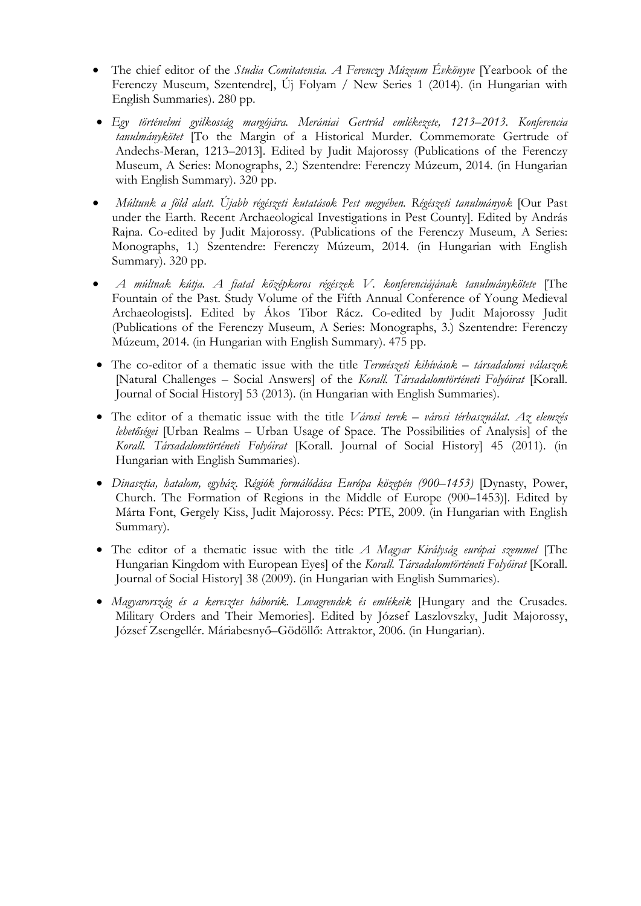- The chief editor of the *Studia Comitatensia. A Ferenczy Múzeum Évkönyve* [Yearbook of the Ferenczy Museum, Szentendre], Új Folyam / New Series 1 (2014). (in Hungarian with English Summaries). 280 pp.
- *Egy történelmi gyilkosság margójára. Merániai Gertrúd emlékezete, 1213–2013. Konferencia tanulmánykötet* [To the Margin of a Historical Murder. Commemorate Gertrude of Andechs-Meran, 1213–2013]. Edited by Judit Majorossy (Publications of the Ferenczy Museum, A Series: Monographs, 2.) Szentendre: Ferenczy Múzeum, 2014. (in Hungarian with English Summary). 320 pp.
- *Múltunk a föld alatt. Újabb régészeti kutatások Pest megyében. Régészeti tanulmányok* [Our Past under the Earth. Recent Archaeological Investigations in Pest County]. Edited by András Rajna. Co-edited by Judit Majorossy. (Publications of the Ferenczy Museum, A Series: Monographs, 1.) Szentendre: Ferenczy Múzeum, 2014. (in Hungarian with English Summary). 320 pp.
- *A múltnak kútja. A fiatal középkoros régészek V. konferenciájának tanulmánykötete* [The Fountain of the Past. Study Volume of the Fifth Annual Conference of Young Medieval Archaeologists]. Edited by Ákos Tibor Rácz. Co-edited by Judit Majorossy Judit (Publications of the Ferenczy Museum, A Series: Monographs, 3.) Szentendre: Ferenczy Múzeum, 2014. (in Hungarian with English Summary). 475 pp.
- The co-editor of a thematic issue with the title *Természeti kihívások társadalomi válaszok* [Natural Challenges – Social Answers] of the *Korall. Társadalomtörténeti Folyóirat* [Korall. Journal of Social History] 53 (2013). (in Hungarian with English Summaries).
- The editor of a thematic issue with the title *Városi terek városi térhasználat. Az elemzés lehetőségei* [Urban Realms – Urban Usage of Space. The Possibilities of Analysis] of the *Korall. Társadalomtörténeti Folyóirat* [Korall. Journal of Social History] 45 (2011). (in Hungarian with English Summaries).
- *Dinasztia, hatalom, egyház. Régiók formálódása Európa közepén (900–1453)* [Dynasty, Power, Church. The Formation of Regions in the Middle of Europe (900–1453)]. Edited by Márta Font, Gergely Kiss, Judit Majorossy. Pécs: PTE, 2009. (in Hungarian with English Summary).
- The editor of a thematic issue with the title *A Magyar Királyság európai szemmel* [The Hungarian Kingdom with European Eyes] of the *Korall. Társadalomtörténeti Folyóirat* [Korall. Journal of Social History] 38 (2009). (in Hungarian with English Summaries).
- *Magyarország és a keresztes háborúk. Lovagrendek és emlékeik* [Hungary and the Crusades. Military Orders and Their Memories]. Edited by József Laszlovszky, Judit Majorossy, József Zsengellér. Máriabesnyő–Gödöllő: Attraktor, 2006. (in Hungarian).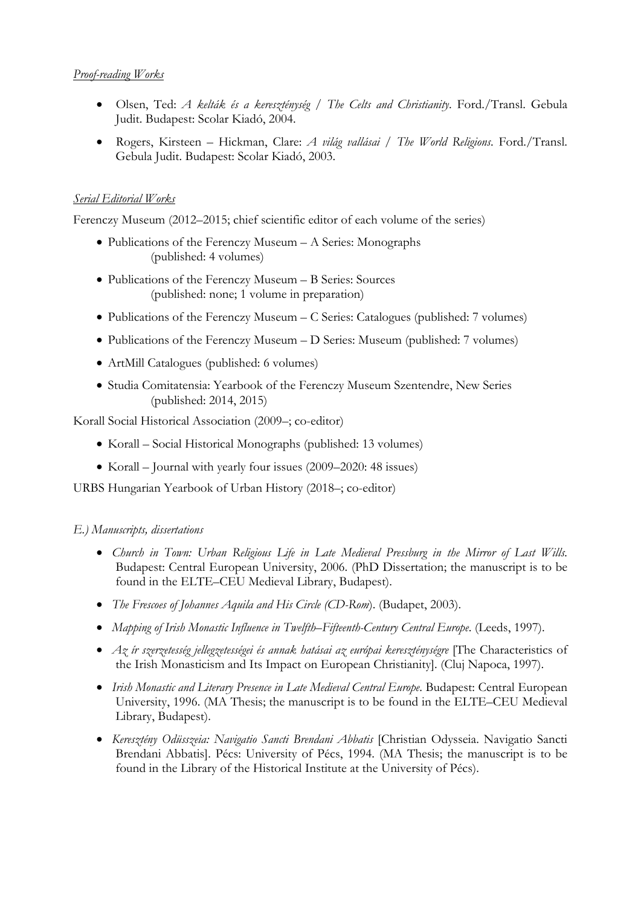#### *Proof-reading Works*

- Olsen, Ted: *A kelták és a kereszténység / The Celts and Christianity*. Ford./Transl. Gebula Judit. Budapest: Scolar Kiadó, 2004.
- Rogers, Kirsteen Hickman, Clare: *A világ vallásai / The World Religions*. Ford./Transl. Gebula Judit. Budapest: Scolar Kiadó, 2003.

# *Serial Editorial Works*

Ferenczy Museum (2012–2015; chief scientific editor of each volume of the series)

- Publications of the Ferenczy Museum A Series: Monographs (published: 4 volumes)
- Publications of the Ferenczy Museum B Series: Sources (published: none; 1 volume in preparation)
- Publications of the Ferenczy Museum C Series: Catalogues (published: 7 volumes)
- Publications of the Ferenczy Museum D Series: Museum (published: 7 volumes)
- ArtMill Catalogues (published: 6 volumes)
- Studia Comitatensia: Yearbook of the Ferenczy Museum Szentendre, New Series (published: 2014, 2015)

Korall Social Historical Association (2009–; co-editor)

- Korall Social Historical Monographs (published: 13 volumes)
- Korall Journal with yearly four issues (2009–2020: 48 issues)

URBS Hungarian Yearbook of Urban History (2018–; co-editor)

# *E.) Manuscripts, dissertations*

- *Church in Town: Urban Religious Life in Late Medieval Pressburg in the Mirror of Last Wills.* Budapest: Central European University, 2006. (PhD Dissertation; the manuscript is to be found in the ELTE–CEU Medieval Library, Budapest).
- *The Frescoes of Johannes Aquila and His Circle (CD-Rom*). (Budapet, 2003).
- Mapping of Irish Monastic Influence in Twelfth–Fifteenth-Century Central Europe. (Leeds, 1997).
- *Az ír szerzetesség jellegzetességei és annak hatásai az európai kereszténységre* [The Characteristics of the Irish Monasticism and Its Impact on European Christianity]. (Cluj Napoca, 1997).
- **•** Irish Monastic and Literary Presence in Late Medieval Central Europe. Budapest: Central European University, 1996. (MA Thesis; the manuscript is to be found in the ELTE–CEU Medieval Library, Budapest).
- *Keresztény Odüsszeia: Navigatio Sancti Brendani Abbatis* [Christian Odysseia. Navigatio Sancti Brendani Abbatis]. Pécs: University of Pécs, 1994. (MA Thesis; the manuscript is to be found in the Library of the Historical Institute at the University of Pécs).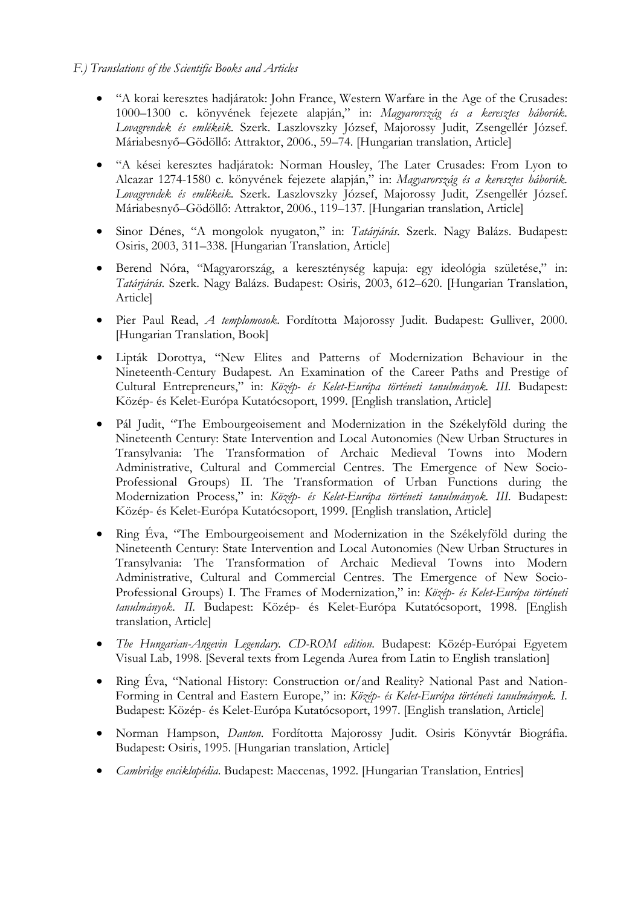- "A korai keresztes hadjáratok: John France, Western Warfare in the Age of the Crusades: 1000–1300 c. könyvének fejezete alapján," in: *Magyarország és a keresztes háborúk. Lovagrendek és emlékeik*. Szerk. Laszlovszky József, Majorossy Judit, Zsengellér József. Máriabesnyő–Gödöllő: Attraktor, 2006., 59–74. [Hungarian translation, Article]
- "A kései keresztes hadjáratok: Norman Housley, The Later Crusades: From Lyon to Alcazar 1274-1580 c. könyvének fejezete alapján," in: *Magyarország és a keresztes háborúk. Lovagrendek és emlékeik*. Szerk. Laszlovszky József, Majorossy Judit, Zsengellér József. Máriabesnyő–Gödöllő: Attraktor, 2006., 119–137. [Hungarian translation, Article]
- Sinor Dénes, "A mongolok nyugaton," in: *Tatárjárás*. Szerk. Nagy Balázs. Budapest: Osiris, 2003, 311–338. [Hungarian Translation, Article]
- Berend Nóra, "Magyarország, a kereszténység kapuja: egy ideológia születése," in: *Tatárjárás*. Szerk. Nagy Balázs. Budapest: Osiris, 2003, 612–620. [Hungarian Translation, Article]
- Pier Paul Read, *A templomosok*. Fordította Majorossy Judit. Budapest: Gulliver, 2000. [Hungarian Translation, Book]
- Lipták Dorottya, "New Elites and Patterns of Modernization Behaviour in the Nineteenth-Century Budapest. An Examination of the Career Paths and Prestige of Cultural Entrepreneurs," in: *Közép- és Kelet-Európa történeti tanulmányok. III.* Budapest: Közép- és Kelet-Európa Kutatócsoport, 1999. [English translation, Article]
- Pál Judit, "The Embourgeoisement and Modernization in the Székelyföld during the Nineteenth Century: State Intervention and Local Autonomies (New Urban Structures in Transylvania: The Transformation of Archaic Medieval Towns into Modern Administrative, Cultural and Commercial Centres. The Emergence of New Socio-Professional Groups) II. The Transformation of Urban Functions during the Modernization Process," in: *Közép- és Kelet-Európa történeti tanulmányok. III.* Budapest: Közép- és Kelet-Európa Kutatócsoport, 1999. [English translation, Article]
- Ring Éva, "The Embourgeoisement and Modernization in the Székelyföld during the Nineteenth Century: State Intervention and Local Autonomies (New Urban Structures in Transylvania: The Transformation of Archaic Medieval Towns into Modern Administrative, Cultural and Commercial Centres. The Emergence of New Socio-Professional Groups) I. The Frames of Modernization," in: *Közép- és Kelet-Európa történeti tanulmányok. II.* Budapest: Közép- és Kelet-Európa Kutatócsoport, 1998. [English translation, Article]
- *The Hungarian-Angevin Legendary. CD-ROM edition*. Budapest: Közép-Európai Egyetem Visual Lab, 1998. [Several texts from Legenda Aurea from Latin to English translation]
- Ring Éva, "National History: Construction or/and Reality? National Past and Nation-Forming in Central and Eastern Europe," in: *Közép- és Kelet-Európa történeti tanulmányok. I.* Budapest: Közép- és Kelet-Európa Kutatócsoport, 1997. [English translation, Article]
- Norman Hampson, *Danton*. Fordította Majorossy Judit. Osiris Könyvtár Biográfia. Budapest: Osiris, 1995. [Hungarian translation, Article]
- *Cambridge enciklopédia*. Budapest: Maecenas, 1992. [Hungarian Translation, Entries]